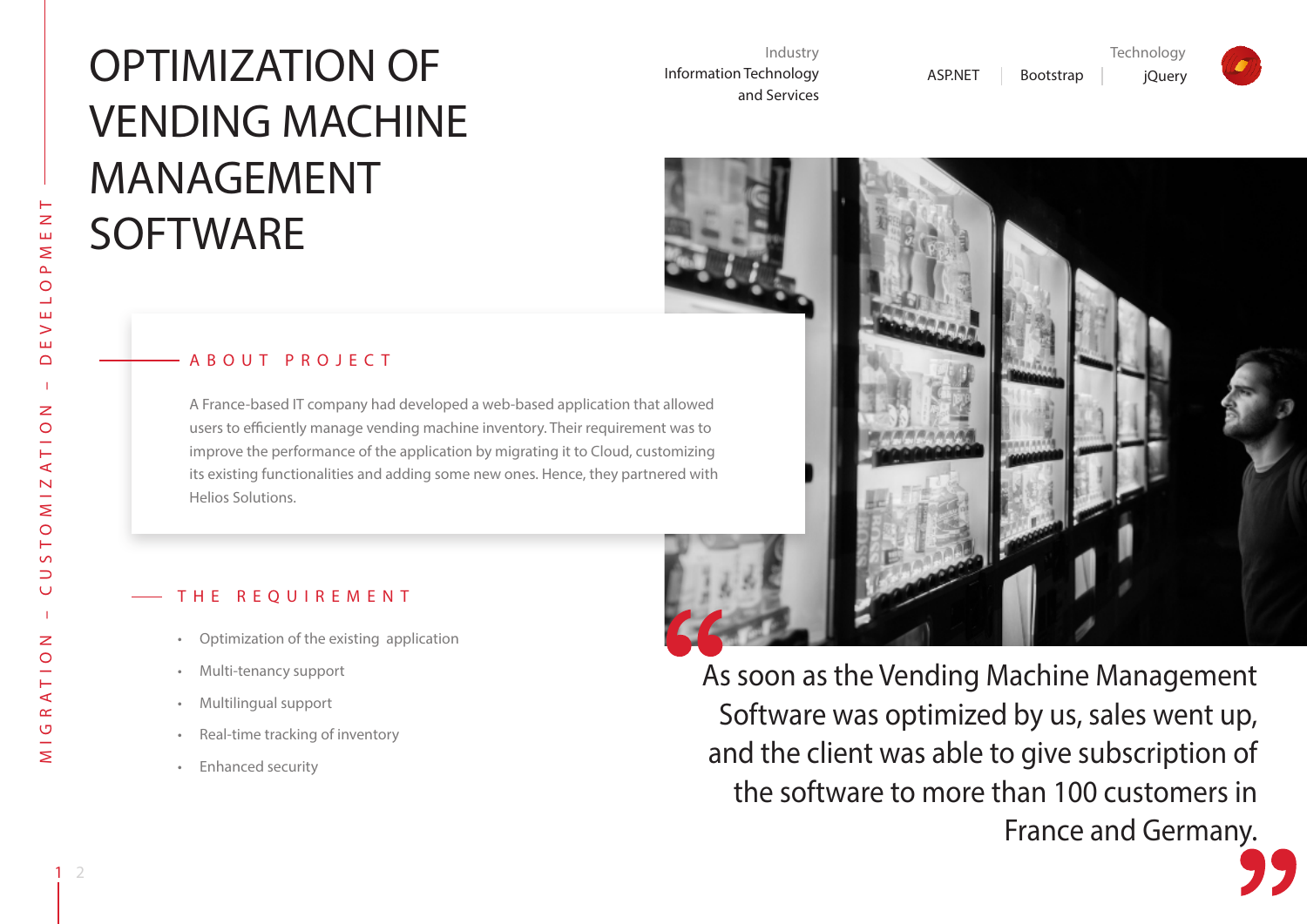# OPTIMIZATION OF VENDING MACHINE MANAGEMENT **SOFTWARE**

Industry Information Technology and Services





ASP.NET | Bootstrap | jQuery

**Technology** 



### ABOUT PROJECT

A France-based IT company had developed a web-based application that allowed users to efficiently manage vending machine inventory. Their requirement was to improve the performance of the application by migrating it to Cloud, customizing its existing functionalities and adding some new ones. Hence, they partnered with Helios Solutions.

#### THE REOUIREMENT

- • Optimization of the existing application
- • Multi-tenancy support
- • Multilingual support
- • Real-time tracking of inventory
- • Enhanced security

As soon as the Vending Machine Management Software was optimized by us, sales went up, and the client was able to give subscription of the software to more than 100 customers in France and Germany.